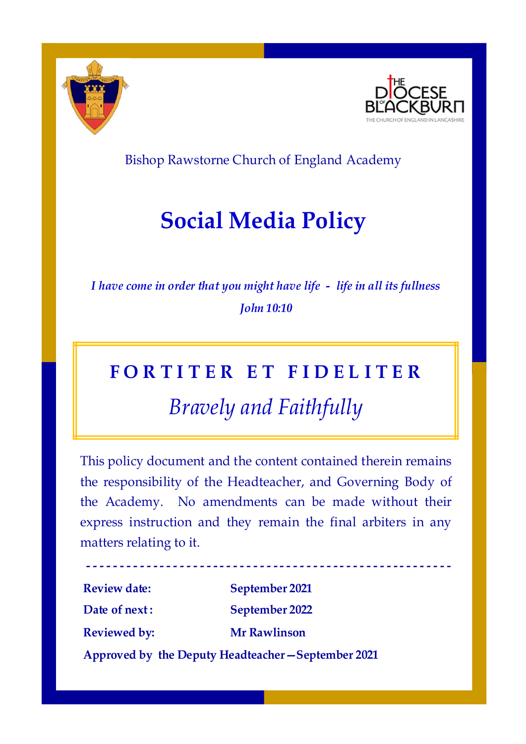



Bishop Rawstorne Church of England Academy

## **Social Media Policy**

*I have come in order that you might have life - life in all its fullness John 10:10*

# **F O R T I T E R E T F I D E L I T E R** *Bravely and Faithfully*

This policy document and the content contained therein remains the responsibility of the Headteacher, and Governing Body of the Academy. No amendments can be made without their express instruction and they remain the final arbiters in any matters relating to it.

**Review date: September 2021 Date of next : September 2022 Reviewed by: Mr Rawlinson**

**-**

**- - - - - - - - - - - - - - - - - - - - - - - - - - - - - - - - - - - - - - - - - - - - - - - - - - - - - -**

**Approved by the Deputy Headteacher—September 2021**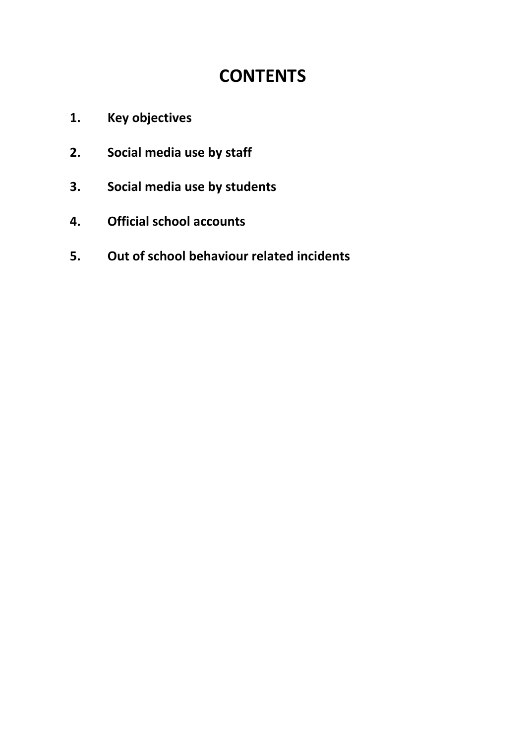### **CONTENTS**

- **1. Key objectives**
- **2. Social media use by staff**
- **3. Social media use by students**
- **4. Official school accounts**
- **5. Out of school behaviour related incidents**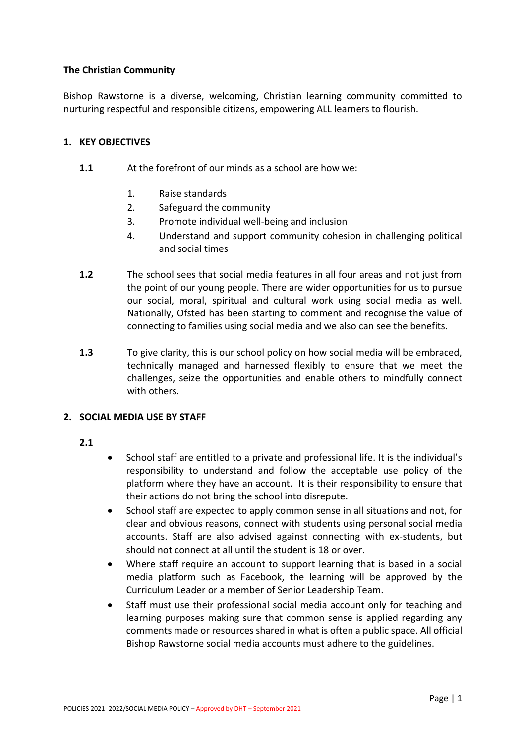#### **The Christian Community**

Bishop Rawstorne is a diverse, welcoming, Christian learning community committed to nurturing respectful and responsible citizens, empowering ALL learners to flourish.

#### **1. KEY OBJECTIVES**

- **1.1** At the forefront of our minds as a school are how we:
	- 1. Raise standards
	- 2. Safeguard the community
	- 3. Promote individual well-being and inclusion
	- 4. Understand and support community cohesion in challenging political and social times
- **1.2** The school sees that social media features in all four areas and not just from the point of our young people. There are wider opportunities for us to pursue our social, moral, spiritual and cultural work using social media as well. Nationally, Ofsted has been starting to comment and recognise the value of connecting to families using social media and we also can see the benefits.
- **1.3** To give clarity, this is our school policy on how social media will be embraced, technically managed and harnessed flexibly to ensure that we meet the challenges, seize the opportunities and enable others to mindfully connect with others.

#### **2. SOCIAL MEDIA USE BY STAFF**

- **2.1**
- School staff are entitled to a private and professional life. It is the individual's responsibility to understand and follow the acceptable use policy of the platform where they have an account. It is their responsibility to ensure that their actions do not bring the school into disrepute.
- School staff are expected to apply common sense in all situations and not, for clear and obvious reasons, connect with students using personal social media accounts. Staff are also advised against connecting with ex-students, but should not connect at all until the student is 18 or over.
- Where staff require an account to support learning that is based in a social media platform such as Facebook, the learning will be approved by the Curriculum Leader or a member of Senior Leadership Team.
- Staff must use their professional social media account only for teaching and learning purposes making sure that common sense is applied regarding any comments made or resources shared in what is often a public space. All official Bishop Rawstorne social media accounts must adhere to the guidelines.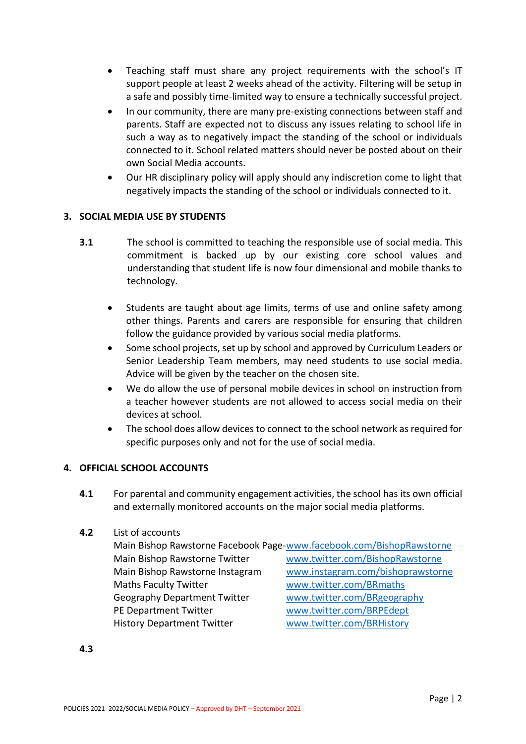- Teaching staff must share any project requirements with the school's IT support people at least 2 weeks ahead of the activity. Filtering will be setup in a safe and possibly time-limited way to ensure a technically successful project.
- In our community, there are many pre-existing connections between staff and parents. Staff are expected not to discuss any issues relating to school life in such a way as to negatively impact the standing of the school or individuals connected to it. School related matters should never be posted about on their own Social Media accounts.
- Our HR disciplinary policy will apply should any indiscretion come to light that negatively impacts the standing of the school or individuals connected to it.

#### **3. SOCIAL MEDIA USE BY STUDENTS**

- **3.1** The school is committed to teaching the responsible use of social media. This commitment is backed up by our existing core school values and understanding that student life is now four dimensional and mobile thanks to technology.
	- Students are taught about age limits, terms of use and online safety among other things. Parents and carers are responsible for ensuring that children follow the guidance provided by various social media platforms.
	- Some school projects, set up by school and approved by Curriculum Leaders or Senior Leadership Team members, may need students to use social media. Advice will be given by the teacher on the chosen site.
	- We do allow the use of personal mobile devices in school on instruction from a teacher however students are not allowed to access social media on their devices at school.
	- The school does allow devices to connect to the school network as required for specific purposes only and not for the use of social media.

#### **4. OFFICIAL SCHOOL ACCOUNTS**

**4.1** For parental and community engagement activities, the school has its own official and externally monitored accounts on the major social media platforms.

#### **4.2** List of accounts

| Main Bishop Rawstorne Facebook Page-www.facebook.com/BishopRawstorne |                                   |
|----------------------------------------------------------------------|-----------------------------------|
| Main Bishop Rawstorne Twitter                                        | www.twitter.com/BishopRawstorne   |
| Main Bishop Rawstorne Instagram                                      | www.instagram.com/bishoprawstorne |
| <b>Maths Faculty Twitter</b>                                         | www.twitter.com/BRmaths           |
| <b>Geography Department Twitter</b>                                  | www.twitter.com/BRgeography       |
| PE Department Twitter                                                | www.twitter.com/BRPEdept          |
| <b>History Department Twitter</b>                                    | www.twitter.com/BRHistory         |
|                                                                      |                                   |

**4.3**